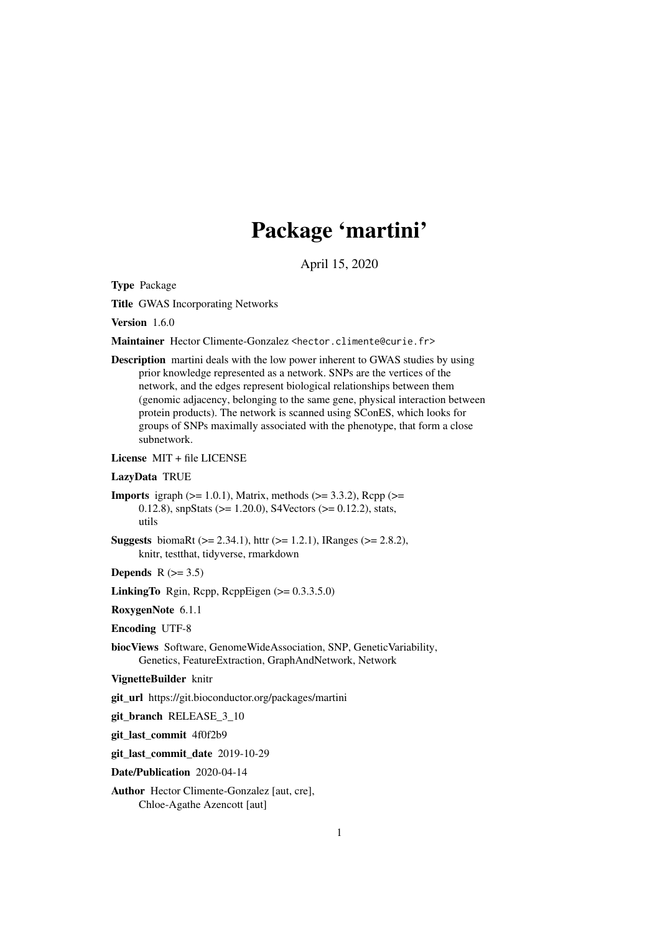# Package 'martini'

April 15, 2020

<span id="page-0-0"></span>Type Package

Title GWAS Incorporating Networks

Version 1.6.0

Maintainer Hector Climente-Gonzalez <hector.climente@curie.fr>

Description martini deals with the low power inherent to GWAS studies by using prior knowledge represented as a network. SNPs are the vertices of the network, and the edges represent biological relationships between them (genomic adjacency, belonging to the same gene, physical interaction between protein products). The network is scanned using SConES, which looks for groups of SNPs maximally associated with the phenotype, that form a close subnetwork.

License MIT + file LICENSE

#### LazyData TRUE

```
Imports igraph (>= 1.0.1), Matrix, methods (>= 3.3.2), Rcpp (>= 1.0.1)0.12.8), snpStats (>= 1.20.0), S4Vectors (>= 0.12.2), stats,
      utils
```
**Suggests** biomaRt ( $>= 2.34.1$ ), httr ( $>= 1.2.1$ ), IRanges ( $>= 2.8.2$ ), knitr, testthat, tidyverse, rmarkdown

Depends  $R$  ( $> = 3.5$ )

LinkingTo Rgin, Rcpp, RcppEigen  $(>= 0.3.3.5.0)$ 

RoxygenNote 6.1.1

Encoding UTF-8

- biocViews Software, GenomeWideAssociation, SNP, GeneticVariability, Genetics, FeatureExtraction, GraphAndNetwork, Network
- VignetteBuilder knitr

git\_url https://git.bioconductor.org/packages/martini

git\_branch RELEASE\_3\_10

git\_last\_commit 4f0f2b9

git\_last\_commit\_date 2019-10-29

Date/Publication 2020-04-14

Author Hector Climente-Gonzalez [aut, cre], Chloe-Agathe Azencott [aut]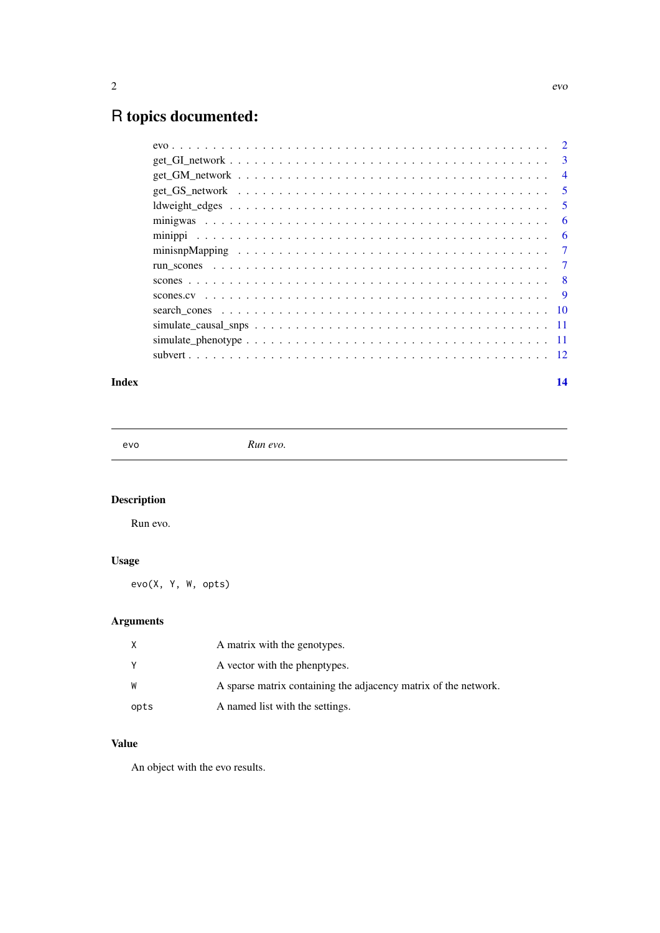# <span id="page-1-0"></span>R topics documented:

|  | $\overline{3}$ |
|--|----------------|
|  | $\overline{4}$ |
|  | 5              |
|  | 5              |
|  | 6              |
|  | 6              |
|  | $\overline{7}$ |
|  | $\overline{7}$ |
|  |                |
|  |                |
|  |                |
|  |                |
|  |                |
|  |                |
|  |                |

#### **Index** [14](#page-13-0)

evo *Run evo.*

# Description

Run evo.

# Usage

evo(X, Y, W, opts)

# Arguments

| X    | A matrix with the genotypes.                                    |
|------|-----------------------------------------------------------------|
| Y    | A vector with the phenptypes.                                   |
| W    | A sparse matrix containing the adjacency matrix of the network. |
| opts | A named list with the settings.                                 |

# Value

An object with the evo results.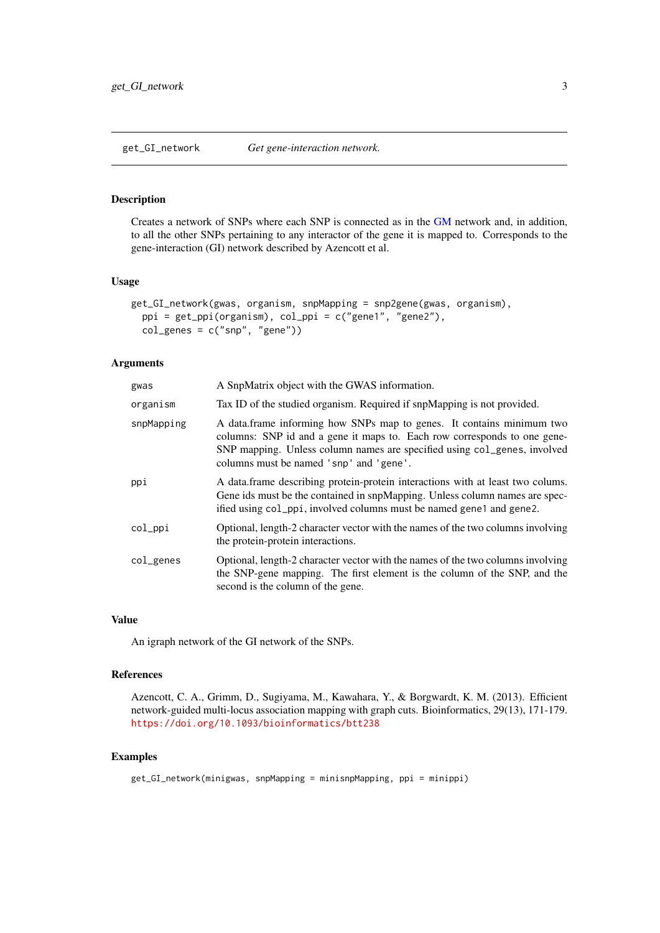<span id="page-2-0"></span>get\_GI\_network *Get gene-interaction network.*

#### Description

Creates a network of SNPs where each SNP is connected as in the [GM](#page-3-1) network and, in addition, to all the other SNPs pertaining to any interactor of the gene it is mapped to. Corresponds to the gene-interaction (GI) network described by Azencott et al.

#### Usage

```
get_GI_network(gwas, organism, snpMapping = snp2gene(gwas, organism),
 ppi = get_ppi(organism), col_ppi = c("gene1", "gene2"),
 col\_genes = c("snp", "gene"))
```
#### Arguments

| gwas       | A SnpMatrix object with the GWAS information.                                                                                                                                                                                                                            |
|------------|--------------------------------------------------------------------------------------------------------------------------------------------------------------------------------------------------------------------------------------------------------------------------|
| organism   | Tax ID of the studied organism. Required if snpMapping is not provided.                                                                                                                                                                                                  |
| snpMapping | A data frame informing how SNPs map to genes. It contains minimum two<br>columns: SNP id and a gene it maps to. Each row corresponds to one gene-<br>SNP mapping. Unless column names are specified using col_genes, involved<br>columns must be named 'snp' and 'gene'. |
| ppi        | A data.frame describing protein-protein interactions with at least two colums.<br>Gene ids must be the contained in snpMapping. Unless column names are spec-<br>ified using col_ppi, involved columns must be named gene1 and gene2.                                    |
| col_ppi    | Optional, length-2 character vector with the names of the two columns involving<br>the protein-protein interactions.                                                                                                                                                     |
| col_genes  | Optional, length-2 character vector with the names of the two columns involving<br>the SNP-gene mapping. The first element is the column of the SNP, and the<br>second is the column of the gene.                                                                        |

#### Value

An igraph network of the GI network of the SNPs.

#### References

Azencott, C. A., Grimm, D., Sugiyama, M., Kawahara, Y., & Borgwardt, K. M. (2013). Efficient network-guided multi-locus association mapping with graph cuts. Bioinformatics, 29(13), 171-179. <https://doi.org/10.1093/bioinformatics/btt238>

```
get_GI_network(minigwas, snpMapping = minisnpMapping, ppi = minippi)
```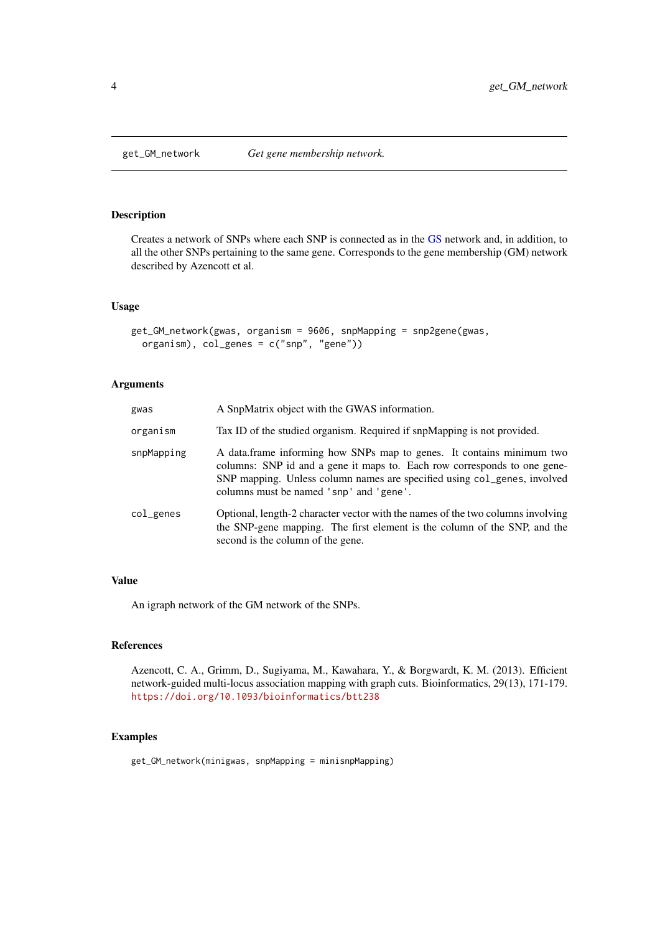<span id="page-3-1"></span><span id="page-3-0"></span>

Creates a network of SNPs where each SNP is connected as in the [GS](#page-4-1) network and, in addition, to all the other SNPs pertaining to the same gene. Corresponds to the gene membership (GM) network described by Azencott et al.

# Usage

```
get_GM_network(gwas, organism = 9606, snpMapping = snp2gene(gwas,
 organism), col_genes = c("snp", "gene"))
```
#### Arguments

| gwas       | A SnpMatrix object with the GWAS information.                                                                                                                                                                                                                            |
|------------|--------------------------------------------------------------------------------------------------------------------------------------------------------------------------------------------------------------------------------------------------------------------------|
| organism   | Tax ID of the studied organism. Required if snpMapping is not provided.                                                                                                                                                                                                  |
| snpMapping | A data frame informing how SNPs map to genes. It contains minimum two<br>columns: SNP id and a gene it maps to. Each row corresponds to one gene-<br>SNP mapping. Unless column names are specified using col_genes, involved<br>columns must be named 'snp' and 'gene'. |
| col_genes  | Optional, length-2 character vector with the names of the two columns involving<br>the SNP-gene mapping. The first element is the column of the SNP, and the<br>second is the column of the gene.                                                                        |

### Value

An igraph network of the GM network of the SNPs.

#### References

Azencott, C. A., Grimm, D., Sugiyama, M., Kawahara, Y., & Borgwardt, K. M. (2013). Efficient network-guided multi-locus association mapping with graph cuts. Bioinformatics, 29(13), 171-179. <https://doi.org/10.1093/bioinformatics/btt238>

#### Examples

get\_GM\_network(minigwas, snpMapping = minisnpMapping)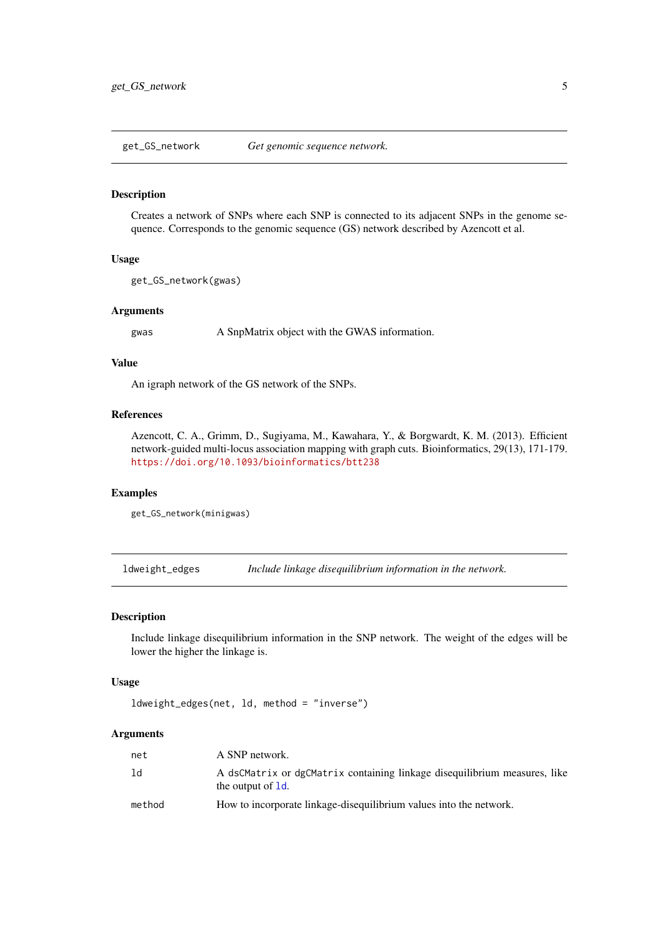<span id="page-4-1"></span><span id="page-4-0"></span>get\_GS\_network *Get genomic sequence network.*

#### Description

Creates a network of SNPs where each SNP is connected to its adjacent SNPs in the genome sequence. Corresponds to the genomic sequence (GS) network described by Azencott et al.

#### Usage

```
get_GS_network(gwas)
```
#### Arguments

gwas A SnpMatrix object with the GWAS information.

#### Value

An igraph network of the GS network of the SNPs.

#### References

Azencott, C. A., Grimm, D., Sugiyama, M., Kawahara, Y., & Borgwardt, K. M. (2013). Efficient network-guided multi-locus association mapping with graph cuts. Bioinformatics, 29(13), 171-179. <https://doi.org/10.1093/bioinformatics/btt238>

#### Examples

get\_GS\_network(minigwas)

ldweight\_edges *Include linkage disequilibrium information in the network.*

#### Description

Include linkage disequilibrium information in the SNP network. The weight of the edges will be lower the higher the linkage is.

#### Usage

ldweight\_edges(net, ld, method = "inverse")

#### Arguments

| net    | A SNP network.                                                                                 |
|--------|------------------------------------------------------------------------------------------------|
| 1d     | A dsCMatrix or dgCMatrix containing linkage disequilibrium measures, like<br>the output of 1d. |
| method | How to incorporate linkage-disequilibrium values into the network.                             |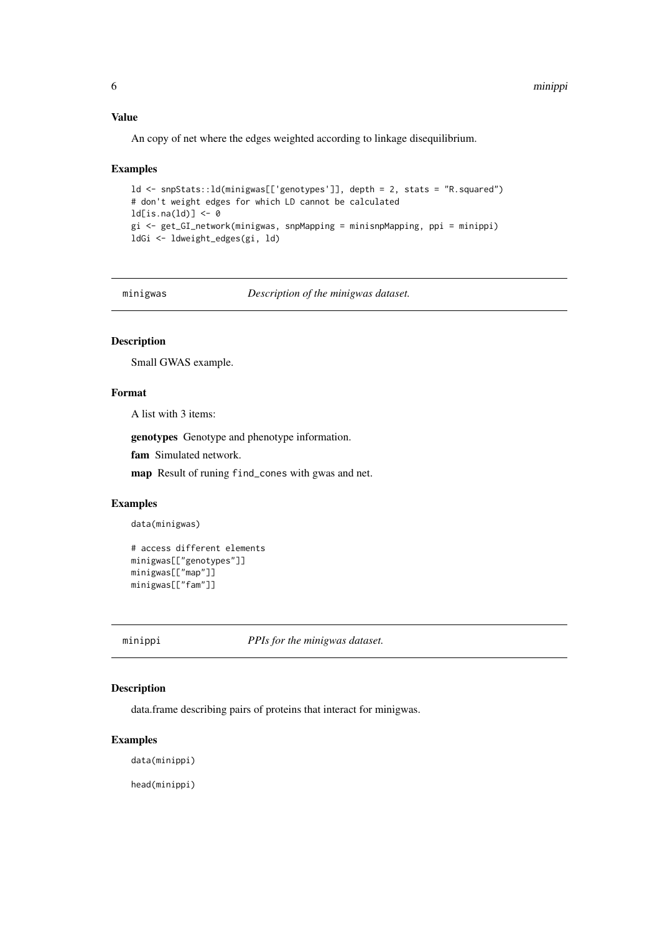#### <span id="page-5-0"></span>Value

An copy of net where the edges weighted according to linkage disequilibrium.

#### Examples

```
ld <- snpStats::ld(minigwas[['genotypes']], depth = 2, stats = "R.squared")
# don't weight edges for which LD cannot be calculated
ld[i s, na(ld)] \leftarrow 0gi <- get_GI_network(minigwas, snpMapping = minisnpMapping, ppi = minippi)
ldGi <- ldweight_edges(gi, ld)
```
minigwas *Description of the minigwas dataset.*

#### Description

Small GWAS example.

#### Format

A list with 3 items:

genotypes Genotype and phenotype information.

fam Simulated network.

map Result of runing find\_cones with gwas and net.

#### Examples

```
data(minigwas)
```

```
# access different elements
minigwas[["genotypes"]]
minigwas[["map"]]
minigwas[["fam"]]
```
minippi *PPIs for the minigwas dataset.*

#### Description

data.frame describing pairs of proteins that interact for minigwas.

#### Examples

data(minippi)

head(minippi)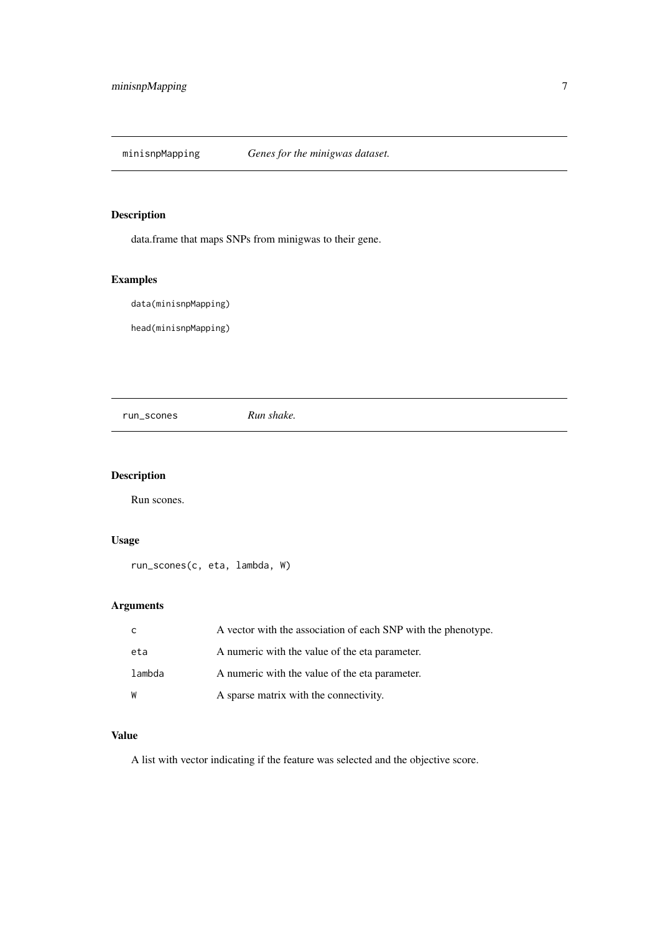<span id="page-6-0"></span>

data.frame that maps SNPs from minigwas to their gene.

# Examples

data(minisnpMapping)

head(minisnpMapping)

run\_scones *Run shake.*

#### Description

Run scones.

# Usage

run\_scones(c, eta, lambda, W)

# Arguments

| C.     | A vector with the association of each SNP with the phenotype. |
|--------|---------------------------------------------------------------|
| eta    | A numeric with the value of the eta parameter.                |
| lambda | A numeric with the value of the eta parameter.                |
| W      | A sparse matrix with the connectivity.                        |

#### Value

A list with vector indicating if the feature was selected and the objective score.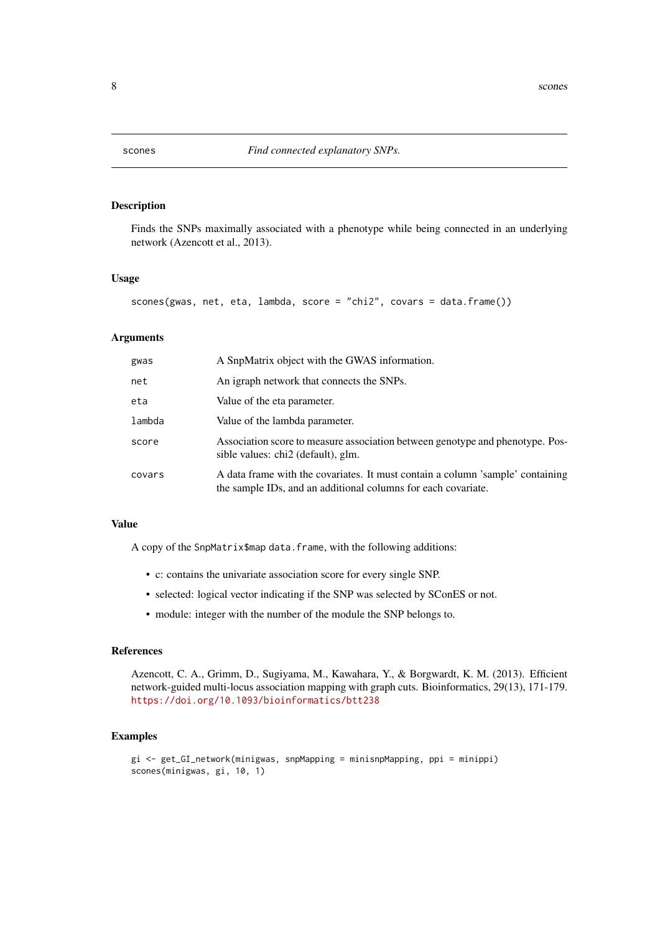<span id="page-7-0"></span>

Finds the SNPs maximally associated with a phenotype while being connected in an underlying network (Azencott et al., 2013).

#### Usage

scones(gwas, net, eta, lambda, score = "chi2", covars = data.frame())

#### Arguments

| gwas   | A SnpMatrix object with the GWAS information.                                                                                                   |
|--------|-------------------------------------------------------------------------------------------------------------------------------------------------|
| net    | An igraph network that connects the SNPs.                                                                                                       |
| eta    | Value of the eta parameter.                                                                                                                     |
| lambda | Value of the lambda parameter.                                                                                                                  |
| score  | Association score to measure association between genotype and phenotype. Pos-<br>sible values: chi2 (default), glm.                             |
| covars | A data frame with the covariates. It must contain a column 'sample' containing<br>the sample IDs, and an additional columns for each covariate. |

#### Value

A copy of the SnpMatrix\$map data.frame, with the following additions:

- c: contains the univariate association score for every single SNP.
- selected: logical vector indicating if the SNP was selected by SConES or not.
- module: integer with the number of the module the SNP belongs to.

# References

Azencott, C. A., Grimm, D., Sugiyama, M., Kawahara, Y., & Borgwardt, K. M. (2013). Efficient network-guided multi-locus association mapping with graph cuts. Bioinformatics, 29(13), 171-179. <https://doi.org/10.1093/bioinformatics/btt238>

```
gi <- get_GI_network(minigwas, snpMapping = minisnpMapping, ppi = minippi)
scones(minigwas, gi, 10, 1)
```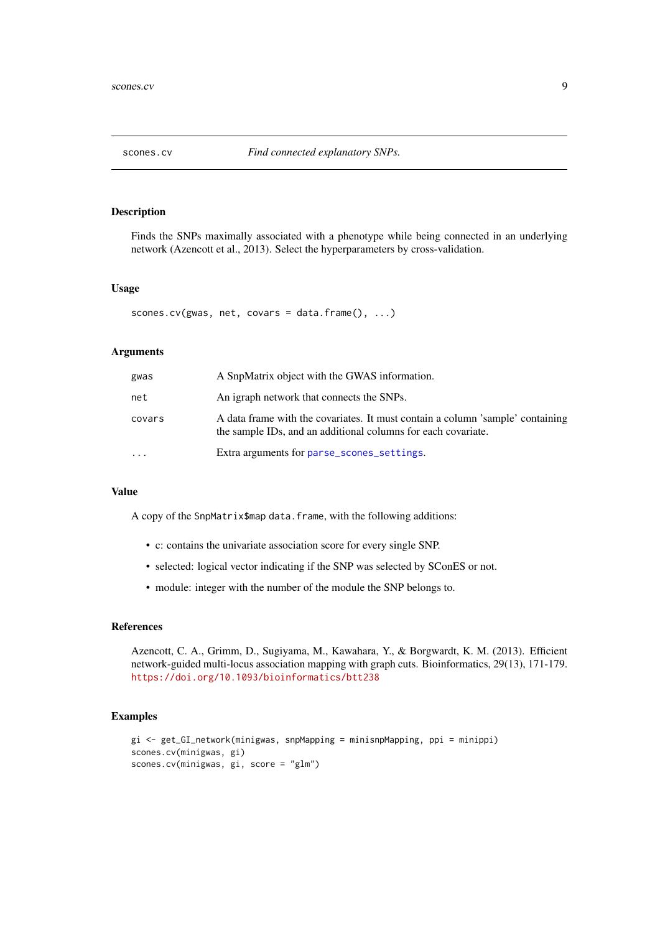<span id="page-8-0"></span>

Finds the SNPs maximally associated with a phenotype while being connected in an underlying network (Azencott et al., 2013). Select the hyperparameters by cross-validation.

#### Usage

```
scones.cv(gwas, net, covars = data.frame(), \dots)
```
#### Arguments

| gwas       | A SnpMatrix object with the GWAS information.                                                                                                   |
|------------|-------------------------------------------------------------------------------------------------------------------------------------------------|
| net        | An igraph network that connects the SNPs.                                                                                                       |
| covars     | A data frame with the covariates. It must contain a column 'sample' containing<br>the sample IDs, and an additional columns for each covariate. |
| $\ddots$ . | Extra arguments for parse_scones_settings.                                                                                                      |

#### Value

A copy of the SnpMatrix\$map data.frame, with the following additions:

- c: contains the univariate association score for every single SNP.
- selected: logical vector indicating if the SNP was selected by SConES or not.
- module: integer with the number of the module the SNP belongs to.

#### References

Azencott, C. A., Grimm, D., Sugiyama, M., Kawahara, Y., & Borgwardt, K. M. (2013). Efficient network-guided multi-locus association mapping with graph cuts. Bioinformatics, 29(13), 171-179. <https://doi.org/10.1093/bioinformatics/btt238>

```
gi <- get_GI_network(minigwas, snpMapping = minisnpMapping, ppi = minippi)
scones.cv(minigwas, gi)
scones.cv(minigwas, gi, score = "glm")
```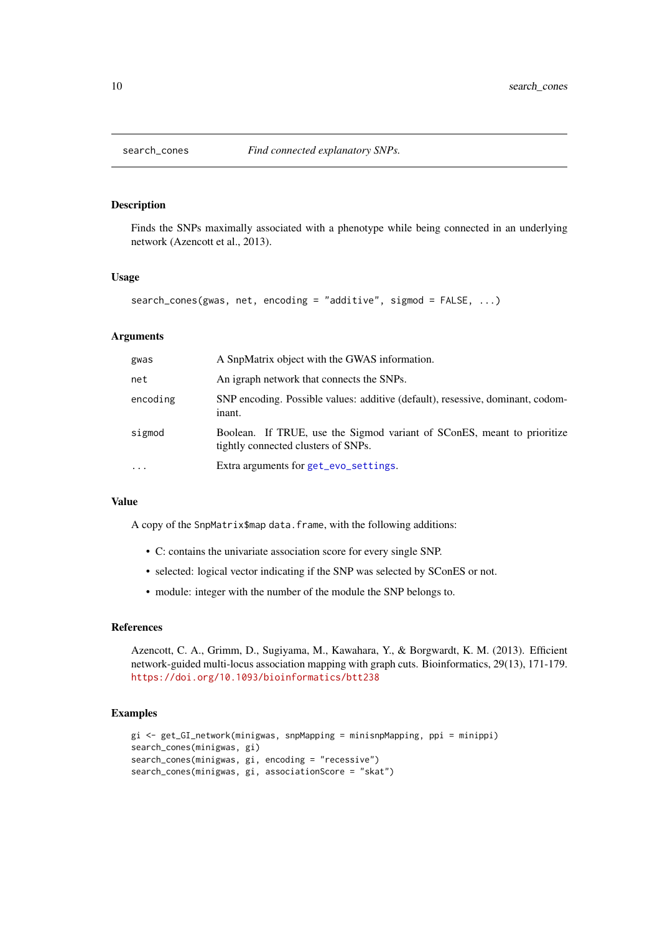<span id="page-9-0"></span>

Finds the SNPs maximally associated with a phenotype while being connected in an underlying network (Azencott et al., 2013).

#### Usage

```
search_cones(gwas, net, encoding = "additive", sigmod = FALSE, ...)
```
#### Arguments

| gwas      | A SnpMatrix object with the GWAS information.                                                                  |
|-----------|----------------------------------------------------------------------------------------------------------------|
| net       | An igraph network that connects the SNPs.                                                                      |
| encoding  | SNP encoding. Possible values: additive (default), resessive, dominant, codom-<br>inant.                       |
| sigmod    | Boolean. If TRUE, use the Sigmod variant of SConES, meant to prioritize<br>tightly connected clusters of SNPs. |
| $\ddotsc$ | Extra arguments for get_evo_settings.                                                                          |

#### Value

A copy of the SnpMatrix\$map data.frame, with the following additions:

- C: contains the univariate association score for every single SNP.
- selected: logical vector indicating if the SNP was selected by SConES or not.
- module: integer with the number of the module the SNP belongs to.

#### References

Azencott, C. A., Grimm, D., Sugiyama, M., Kawahara, Y., & Borgwardt, K. M. (2013). Efficient network-guided multi-locus association mapping with graph cuts. Bioinformatics, 29(13), 171-179. <https://doi.org/10.1093/bioinformatics/btt238>

```
gi <- get_GI_network(minigwas, snpMapping = minisnpMapping, ppi = minippi)
search_cones(minigwas, gi)
search_cones(minigwas, gi, encoding = "recessive")
search_cones(minigwas, gi, associationScore = "skat")
```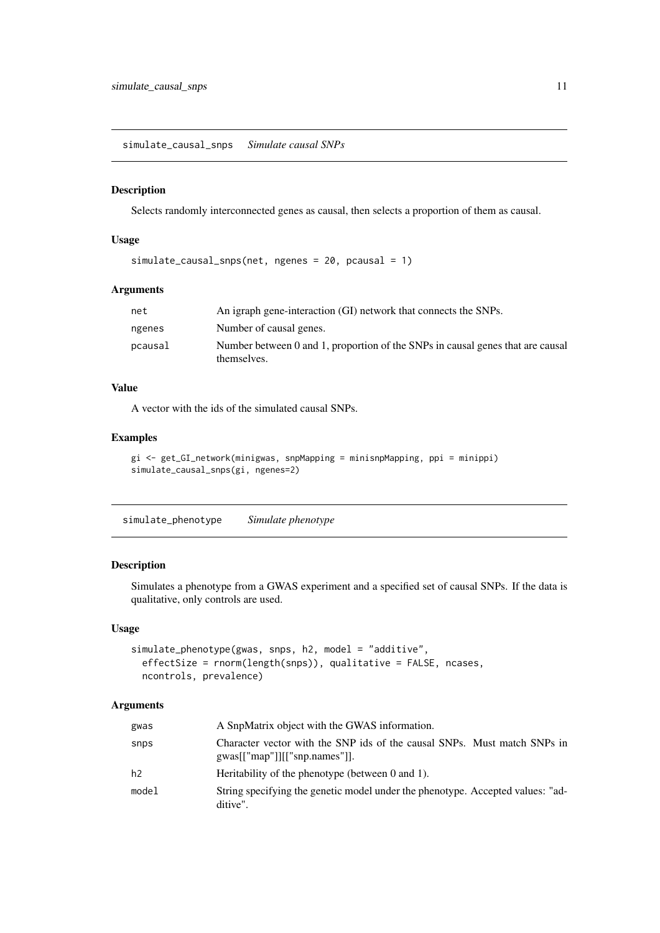<span id="page-10-0"></span>simulate\_causal\_snps *Simulate causal SNPs*

#### Description

Selects randomly interconnected genes as causal, then selects a proportion of them as causal.

#### Usage

```
simulate_causal_snps(net, ngenes = 20, pcausal = 1)
```
#### Arguments

| net     | An igraph gene-interaction (GI) network that connects the SNPs.                               |
|---------|-----------------------------------------------------------------------------------------------|
| ngenes  | Number of causal genes.                                                                       |
| pcausal | Number between 0 and 1, proportion of the SNPs in causal genes that are causal<br>themselves. |

#### Value

A vector with the ids of the simulated causal SNPs.

#### Examples

```
gi <- get_GI_network(minigwas, snpMapping = minisnpMapping, ppi = minippi)
simulate_causal_snps(gi, ngenes=2)
```
simulate\_phenotype *Simulate phenotype*

#### Description

Simulates a phenotype from a GWAS experiment and a specified set of causal SNPs. If the data is qualitative, only controls are used.

#### Usage

```
simulate_phenotype(gwas, snps, h2, model = "additive",
 effectSize = rnorm(length(snps)), qualitative = FALSE, ncases,
 ncontrols, prevalence)
```
#### Arguments

| gwas  | A SnpMatrix object with the GWAS information.                                                            |
|-------|----------------------------------------------------------------------------------------------------------|
| snps  | Character vector with the SNP ids of the causal SNPs. Must match SNPs in<br>gwas[["map"] [["snp.name"]]. |
| h2    | Heritability of the phenotype (between $0$ and $1$ ).                                                    |
| model | String specifying the genetic model under the phenotype. Accepted values: "ad-<br>ditive".               |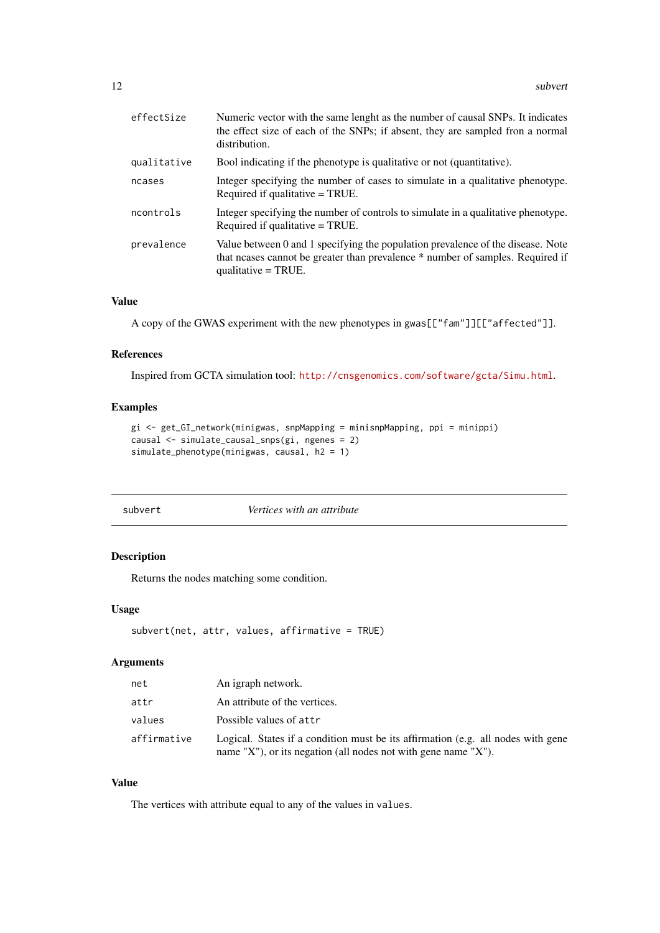<span id="page-11-0"></span>

| Numeric vector with the same lenght as the number of causal SNPs. It indicates<br>the effect size of each of the SNPs; if absent, they are sampled fron a normal<br>distribution.          |
|--------------------------------------------------------------------------------------------------------------------------------------------------------------------------------------------|
| Bool indicating if the phenotype is qualitative or not (quantitative).                                                                                                                     |
| Integer specifying the number of cases to simulate in a qualitative phenotype.<br>Required if qualitative = TRUE.                                                                          |
| Integer specifying the number of controls to simulate in a qualitative phenotype.<br>Required if qualitative = TRUE.                                                                       |
| Value between 0 and 1 specifying the population prevalence of the disease. Note<br>that neases cannot be greater than prevalence * number of samples. Required if<br>qualitative $=$ TRUE. |
|                                                                                                                                                                                            |

#### Value

A copy of the GWAS experiment with the new phenotypes in gwas[["fam"]][["affected"]].

#### References

Inspired from GCTA simulation tool: <http://cnsgenomics.com/software/gcta/Simu.html>.

#### Examples

```
gi <- get_GI_network(minigwas, snpMapping = minisnpMapping, ppi = minippi)
causal <- simulate_causal_snps(gi, ngenes = 2)
simulate_phenotype(minigwas, causal, h2 = 1)
```
#### subvert *Vertices with an attribute*

#### Description

Returns the nodes matching some condition.

#### Usage

```
subvert(net, attr, values, affirmative = TRUE)
```
#### Arguments

| net         | An igraph network.                                                                                                                                 |
|-------------|----------------------------------------------------------------------------------------------------------------------------------------------------|
| attr        | An attribute of the vertices.                                                                                                                      |
| values      | Possible values of attr                                                                                                                            |
| affirmative | Logical. States if a condition must be its affirmation (e.g. all nodes with gene<br>name "X"), or its negation (all nodes not with gene name "X"). |

# Value

The vertices with attribute equal to any of the values in values.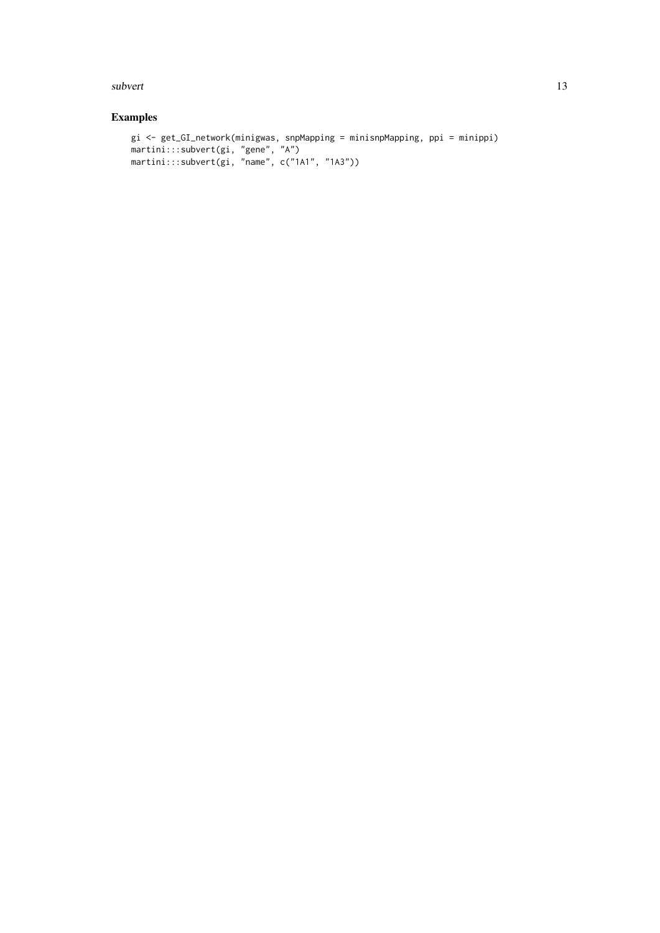#### subvert the subset of the state of the state of the state of the state of the state of the state of the state of the state of the state of the state of the state of the state of the state of the state of the state of the s

```
gi <- get_GI_network(minigwas, snpMapping = minisnpMapping, ppi = minippi)
martini:::subvert(gi, "gene", "A")
martini:::subvert(gi, "name", c("1A1", "1A3"))
```